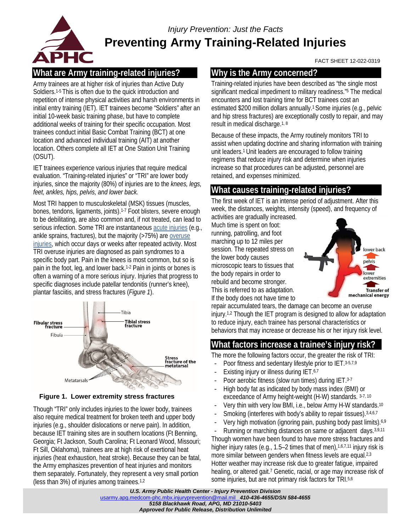

# *Injury Prevention: Just the Facts* **Preventing Army Training-Related Injuries**

#### FACT SHEET 12-022-0319

# **What are Army training-related injuries?**

Army trainees are at higher risk of injuries than Active Duty Soldiers. 1-5 This is often due to the quick introduction and repetition of intense physical activities and harsh environments in initial entry training (IET). IET trainees become "Soldiers" after an initial 10-week basic training phase, but have to complete additional weeks of training for their specific occupation. Most trainees conduct initial Basic Combat Training (BCT) at one location and advanced individual training (AIT) at another location. Others complete all IET at One Station Unit Training (OSUT).

IET trainees experience various injuries that require medical evaluation. "Training-related injuries" or "TRI" are lower body injuries, since the majority (80%) of injuries are to the *knees, legs, feet, ankles, hips, pelvis, and lower back.*

Most TRI happen to musculoskeletal (MSK) tissues (muscles, bones, tendons, ligaments, joints).1-7 Foot blisters, severe enough to be debilitating, are also common and, if not treated, can lead to serious infection. Some TRI are instantaneou[s acute injuries](https://phc.amedd.army.mil/PHC%20Resource%20Library/MSKInjuries_FS_12-011-0417.pdf) (e.g., ankle sprains, fractures), but the majority (>75%) ar[e overuse](https://phc.amedd.army.mil/PHC%20Resource%20Library/MSKInjuries_FS_12-011-0417.pdf)  [injuries,](https://phc.amedd.army.mil/PHC%20Resource%20Library/MSKInjuries_FS_12-011-0417.pdf) which occur days or weeks after repeated activity. Most TRI overuse injuries are diagnosed as pain syndromes to a specific body part. Pain in the knees is most common, but so is pain in the foot, leg, and lower back.1-2 Pain in joints or bones is often a warning of a more serious injury. Injuries that progress to specific diagnoses include patellar tendonitis (runner's knee), plantar fasciitis, and stress fractures (*Figure 1*).



**Figure 1. Lower extremity stress fractures**

Though "TRI" only includes injuries to the lower body, trainees also require medical treatment for broken teeth and upper body injuries (e.g., shoulder dislocations or nerve pain). In addition, because IET training sites are in southern locations (Ft Benning, Georgia; Ft Jackson, South Carolina; Ft Leonard Wood, Missouri; Ft Sill, Oklahoma), trainees are at high risk of exertional heat injuries (heat exhaustion, heat stroke). Because they can be fatal, the Army emphasizes prevention of heat injuries and monitors them separately. Fortunately, they represent a very small portion (less than 3%) of injuries among trainees.1,2

## **Why is the Army concerned?**

Training-related injuries have been described as "the single most significant medical impediment to military readiness."5 The medical encounters and lost training time for BCT trainees cost an estimated \$200 million dollars annually.1 Some injuries (e.g., pelvic and hip stress fractures) are exceptionally costly to repair, and may result in medical discharge.<sup>1, 8</sup>

Because of these impacts, the Army routinely monitors TRI to assist when updating doctrine and sharing information with training unit leaders.1 Unit leaders are encouraged to follow training regimens that reduce injury risk and determine when injuries increase so that procedures can be adjusted, personnel are retained, and expenses minimized.

# **What causes training-related injuries?**

The first week of IET is an intense period of adjustment. After this week, the distances, weights, intensity (speed), and frequency of activities are gradually increased.

Much time is spent on foot: running, patrolling, and foot marching up to 12 miles per session. The repeated stress on the lower body causes microscopic tears to tissues that the body repairs in order to rebuild and become stronger. This is referred to as adaptation. If the body does not have time to



repair accumulated tears, the damage can become an overuse injury.1,2 Though the IET program is designed to allow for adaptation to reduce injury, each trainee has personal characteristics or behaviors that may increase or decrease his or her injury risk level.

## **What factors increase a trainee's injury risk?**

The more the following factors occur, the greater the risk of TRI:

- Poor fitness and sedentary lifestyle prior to IET. 3-5,7,9
- Existing injury or illness during IET.<sup>6,7</sup>
- Poor aerobic fitness (slow run times) during IET.3-7
- High body fat as indicated by body mass index (BMI) or exceedance of Army height-weight (H-W) standards. 3-7, <sup>10</sup>
- Very thin with very low BMI, i.e., below Army H-W standards.10
- Smoking (interferes with body's ability to repair tissues). 3,4,6,7
- Very high motivation (ignoring pain, pushing body past limits).<sup>6,9</sup>
- Running or marching distances on same or adjacent days.<sup>3,9,11</sup>

Though women have been found to have more stress fractures and higher injury rates (e.g., 1.5–2 times that of men),  $1,6,7,11$  injury risk is more similar between genders when fitness levels are equal.<sup>2,3</sup> Hotter weather may increase risk due to greater fatigue, impaired healing, or altered gait.<sup>7</sup> Genetic, racial, or age may increase risk of some injuries, but are not primary risk factors for TRI.5,6

*U.S. Army Public Health Center - Injury Prevention Division* [usarmy.apg.medcom-phc.mbx.injuryprevention@mail.mil](mailto:usarmy.apg.medcom-phc.mbx.injuryprevention@mail.mil) *410-436-4655/DSN 584-4655 5158 Blackhawk Road, APG, MD 21010-5403 Approved for Public Release, Distribution Unlimited*